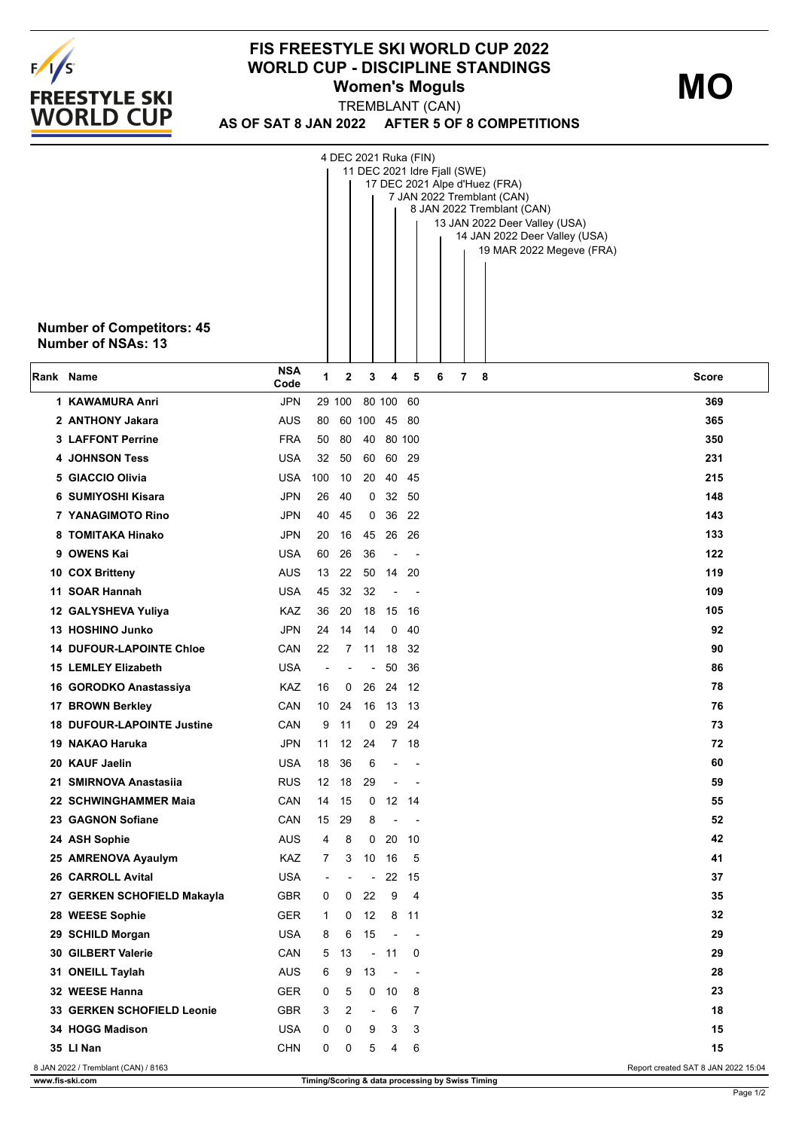

## **FIS FREESTYLE SKI WORLD CUP 2022 WORLD CUP - DISCIPLINE STANDINGS Women's Moguls**

**MO**

**AS OF SAT 8 JAN 2022 AFTER 5 OF 8 COMPETITIONS** TREMBLANT (CAN)

|           | <b>Number of Competitors: 45</b><br>Number of NSAs: 13 |                    |                          |          |                          |                          |                          | 4 DEC 2021 Ruka (FIN)<br>11 DEC 2021 Idre Fjall (SWE)<br>17 DEC 2021 Alpe d'Huez (FRA)<br>7 JAN 2022 Tremblant (CAN)<br>8 JAN 2022 Tremblant (CAN)<br>13 JAN 2022 Deer Valley (USA)<br>14 JAN 2022 Deer Valley (USA)<br>19 MAR 2022 Megeve (FRA) |  |
|-----------|--------------------------------------------------------|--------------------|--------------------------|----------|--------------------------|--------------------------|--------------------------|--------------------------------------------------------------------------------------------------------------------------------------------------------------------------------------------------------------------------------------------------|--|
| Rank Name |                                                        | <b>NSA</b><br>Code | 1                        | 2        | 3                        | 4                        | 5                        | 7<br>6<br>- 8<br><b>Score</b>                                                                                                                                                                                                                    |  |
|           | 1 KAWAMURA Anri                                        | <b>JPN</b>         |                          | 29 100   |                          | 80 100 60                |                          | 369                                                                                                                                                                                                                                              |  |
|           | 2 ANTHONY Jakara                                       | AUS                | 80                       |          | 60 100 45 80             |                          |                          | 365                                                                                                                                                                                                                                              |  |
|           | <b>3 LAFFONT Perrine</b>                               | <b>FRA</b>         | 50                       | 80       | 40                       | 80 100                   |                          | 350                                                                                                                                                                                                                                              |  |
|           | <b>4 JOHNSON Tess</b>                                  | <b>USA</b>         | 32                       | 50       | 60                       | 60 29                    |                          | 231                                                                                                                                                                                                                                              |  |
|           | 5 GIACCIO Olivia                                       | USA                | 100                      | 10       |                          | 20 40 45                 |                          | 215                                                                                                                                                                                                                                              |  |
|           | 6 SUMIYOSHI Kisara                                     | <b>JPN</b>         | 26                       | 40       |                          | 0, 32, 50                |                          | 148                                                                                                                                                                                                                                              |  |
|           | 7 YANAGIMOTO Rino                                      | <b>JPN</b>         | 40                       | 45       | 0                        | 36                       | 22                       | 143                                                                                                                                                                                                                                              |  |
|           | 8 TOMITAKA Hinako                                      | <b>JPN</b>         | 20                       | 16       | 45                       | 26                       | -26                      | 133                                                                                                                                                                                                                                              |  |
|           | 9 OWENS Kai                                            | <b>USA</b>         | 60                       | 26       | 36                       |                          |                          | 122<br>119                                                                                                                                                                                                                                       |  |
|           | 10 COX Britteny<br>11 SOAR Hannah                      | AUS<br><b>USA</b>  | 13<br>45                 | 22<br>32 | 32                       | 50 14                    | -20                      | 109                                                                                                                                                                                                                                              |  |
|           | 12 GALYSHEVA Yuliya                                    | KAZ                | 36                       | 20       | 18                       | 15 16                    |                          | 105                                                                                                                                                                                                                                              |  |
|           | 13 HOSHINO Junko                                       | <b>JPN</b>         | 24                       | 14       | 14                       | 0                        | 40                       | 92                                                                                                                                                                                                                                               |  |
|           | <b>14 DUFOUR-LAPOINTE Chloe</b>                        | CAN                | 22                       |          | 7 11 18 32               |                          |                          | 90                                                                                                                                                                                                                                               |  |
|           | <b>15 LEMLEY Elizabeth</b>                             | <b>USA</b>         | ÷                        |          | $\overline{\phantom{a}}$ | 50                       | 36                       | 86                                                                                                                                                                                                                                               |  |
|           | 16 GORODKO Anastassiya                                 | KAZ                | 16                       | 0        |                          | 26 24 12                 |                          | 78                                                                                                                                                                                                                                               |  |
|           | 17 BROWN Berkley                                       | CAN                | 10                       | 24       |                          | 16 13 13                 |                          | 76                                                                                                                                                                                                                                               |  |
|           | <b>18 DUFOUR-LAPOINTE Justine</b>                      | CAN                | 9                        | 11       | 0                        |                          | 29 24                    | 73                                                                                                                                                                                                                                               |  |
|           | 19 NAKAO Haruka                                        | <b>JPN</b>         | 11                       | 12       | 24                       |                          | 7 18                     | 72                                                                                                                                                                                                                                               |  |
|           | 20 KAUF Jaelin                                         | <b>USA</b>         | 18                       | -36      | 6                        | $\overline{\phantom{a}}$ | $\sim$ $-$               | 60                                                                                                                                                                                                                                               |  |
|           | 21 SMIRNOVA Anastasija                                 | <b>RUS</b>         | 12                       | 18       | 29                       | $\overline{\phantom{a}}$ |                          | 59                                                                                                                                                                                                                                               |  |
|           | 22 SCHWINGHAMMER Maia                                  | CAN                | 14                       | - 15     |                          | $0$ 12 14                |                          | 55                                                                                                                                                                                                                                               |  |
|           | 23 GAGNON Sofiane                                      | CAN                | 15                       | 29       | 8                        | $\overline{\phantom{a}}$ | $\overline{\phantom{a}}$ | 52                                                                                                                                                                                                                                               |  |
|           | 24 ASH Sophie                                          | <b>AUS</b>         | 4                        | 8        |                          | $0$ 20 10                |                          | 42                                                                                                                                                                                                                                               |  |
|           | 25 AMRENOVA Ayaulym                                    | KAZ                | 7                        | 3        | 10 16                    |                          | - 5                      | 41                                                                                                                                                                                                                                               |  |
|           | 26 CARROLL Avital                                      | <b>USA</b>         | $\overline{\phantom{a}}$ |          | $\overline{\phantom{a}}$ |                          | 22 15                    | 37                                                                                                                                                                                                                                               |  |
|           | 27 GERKEN SCHOFIELD Makayla                            | <b>GBR</b>         | 0                        | 0        | 22                       | 9                        | $\overline{4}$           | 35                                                                                                                                                                                                                                               |  |
|           | 28 WEESE Sophie                                        | <b>GER</b>         | 1                        | 0        | 12                       |                          | 8 11                     | 32                                                                                                                                                                                                                                               |  |
|           | 29 SCHILD Morgan                                       | <b>USA</b>         | 8                        | 6        | 15                       | $\centerdot$             |                          | 29                                                                                                                                                                                                                                               |  |
|           | 30 GILBERT Valerie                                     | CAN                | 5                        | 13       |                          | $-11$                    | 0                        | 29                                                                                                                                                                                                                                               |  |
|           | 31 ONEILL Taylah                                       | <b>AUS</b>         | 6                        | 9        | 13                       | $\overline{\phantom{a}}$ | $\overline{\phantom{a}}$ | 28                                                                                                                                                                                                                                               |  |
|           | 32 WEESE Hanna                                         | <b>GER</b>         | 0                        | 5        |                          | $0$ 10                   | 8                        | 23                                                                                                                                                                                                                                               |  |
|           | 33 GERKEN SCHOFIELD Leonie                             | GBR                | 3                        | 2        | $\blacksquare$           | 6                        | 7                        | 18                                                                                                                                                                                                                                               |  |
|           | 34 HOGG Madison                                        | <b>USA</b>         | 0                        | 0        | 9                        | 3                        | 3                        | 15                                                                                                                                                                                                                                               |  |
|           | 35 LI Nan                                              | <b>CHN</b>         | 0                        | 0        | 5                        | 4                        | 6                        | 15                                                                                                                                                                                                                                               |  |
|           | 8 JAN 2022 / Tremblant (CAN) / 8163                    |                    |                          |          |                          |                          |                          | Report created SAT 8 JAN 2022 15:04                                                                                                                                                                                                              |  |